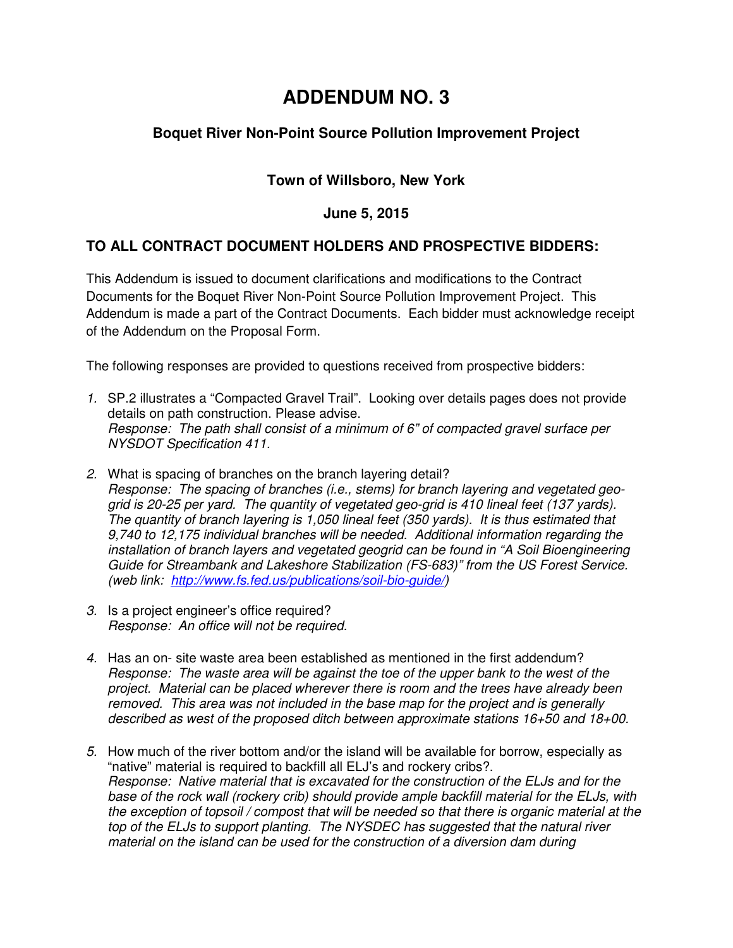# **ADDENDUM NO. 3**

## **Boquet River Non-Point Source Pollution Improvement Project**

## **Town of Willsboro, New York**

#### **June 5, 2015**

#### **TO ALL CONTRACT DOCUMENT HOLDERS AND PROSPECTIVE BIDDERS:**

This Addendum is issued to document clarifications and modifications to the Contract Documents for the Boquet River Non-Point Source Pollution Improvement Project. This Addendum is made a part of the Contract Documents. Each bidder must acknowledge receipt of the Addendum on the Proposal Form.

The following responses are provided to questions received from prospective bidders:

- *1.* SP.2 illustrates a "Compacted Gravel Trail". Looking over details pages does not provide details on path construction. Please advise. *Response: The path shall consist of a minimum of 6" of compacted gravel surface per NYSDOT Specification 411.*
- *2.* What is spacing of branches on the branch layering detail? *Response: The spacing of branches (i.e., stems) for branch layering and vegetated geogrid is 20-25 per yard. The quantity of vegetated geo-grid is 410 lineal feet (137 yards). The quantity of branch layering is 1,050 lineal feet (350 yards). It is thus estimated that 9,740 to 12,175 individual branches will be needed. Additional information regarding the installation of branch layers and vegetated geogrid can be found in "A Soil Bioengineering Guide for Streambank and Lakeshore Stabilization (FS-683)" from the US Forest Service. (web link: http://www.fs.fed.us/publications/soil-bio-guide/)*
- *3.* Is a project engineer's office required? *Response: An office will not be required.*
- *4.* Has an on- site waste area been established as mentioned in the first addendum? *Response: The waste area will be against the toe of the upper bank to the west of the project. Material can be placed wherever there is room and the trees have already been removed. This area was not included in the base map for the project and is generally described as west of the proposed ditch between approximate stations 16+50 and 18+00.*
- *5.* How much of the river bottom and/or the island will be available for borrow, especially as "native" material is required to backfill all ELJ's and rockery cribs?. *Response: Native material that is excavated for the construction of the ELJs and for the base of the rock wall (rockery crib) should provide ample backfill material for the ELJs, with the exception of topsoil / compost that will be needed so that there is organic material at the top of the ELJs to support planting. The NYSDEC has suggested that the natural river material on the island can be used for the construction of a diversion dam during*